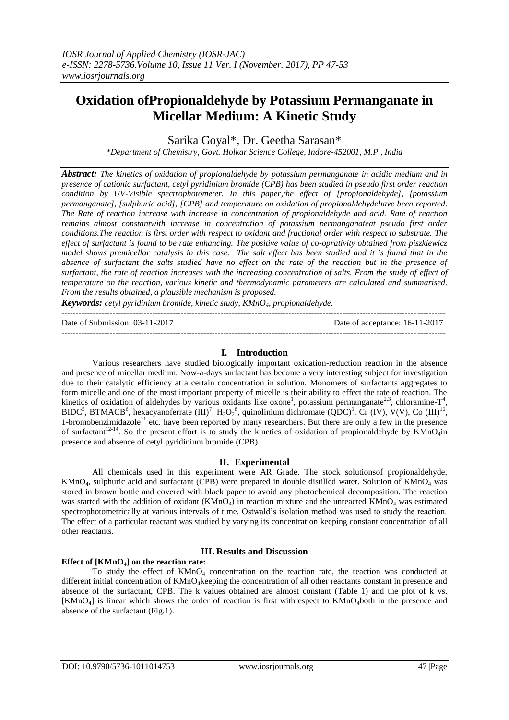# **Oxidation ofPropionaldehyde by Potassium Permanganate in Micellar Medium: A Kinetic Study**

Sarika Goyal\*, Dr. Geetha Sarasan\*

*\*Department of Chemistry, Govt. Holkar Science College, Indore-452001, M.P., India*

*Abstract: The kinetics of oxidation of propionaldehyde by potassium permanganate in acidic medium and in presence of cationic surfactant, cetyl pyridinium bromide (CPB) has been studied in pseudo first order reaction condition by UV-Visible spectrophotometer. In this paper,the effect of [propionaldehyde], [potassium permanganate], [sulphuric acid], [CPB] and temperature on oxidation of propionaldehydehave been reported. The Rate of reaction increase with increase in concentration of propionaldehyde and acid. Rate of reaction remains almost constantwith increase in concentration of potassium permanganateat pseudo first order conditions.The reaction is first order with respect to oxidant and fractional order with respect to substrate. The effect of surfactant is found to be rate enhancing. The positive value of co-oprativity obtained from piszkiewicz model shows premicellar catalysis in this case. The salt effect has been studied and it is found that in the*  absence of surfactant the salts studied have no effect on the rate of the reaction but in the presence of *surfactant, the rate of reaction increases with the increasing concentration of salts. From the study of effect of temperature on the reaction, various kinetic and thermodynamic parameters are calculated and summarised. From the results obtained, a plausible mechanism is proposed.*

*Keywords: cetyl pyridinium bromide, kinetic study, KMnO4, propionaldehyde.* ---------------------------------------------------------------------------------------------------------------------------------------

```
Date of Submission: 03-11-2017 Date of acceptance: 16-11-2017
---------------------------------------------------------------------------------------------------------------------------------------
```
## **I. Introduction**

Various researchers have studied biologically important oxidation-reduction reaction in the absence and presence of micellar medium. Now-a-days surfactant has become a very interesting subject for investigation due to their catalytic efficiency at a certain concentration in solution. Monomers of surfactants aggregates to form micelle and one of the most important property of micelle is their ability to effect the rate of reaction. The kinetics of oxidation of aldehydes by various oxidants like oxone<sup>1</sup>, potassium permanganate<sup>2,3</sup>, chloramine-T<sup>4</sup>, BIDC<sup>5</sup>, BTMACB<sup>6</sup>, hexacyanoferrate  $(III)^7$ ,  $H_2O_2^8$ , quinolinium dichromate  $(QDC)^9$ , Cr (IV), V(V), Co  $(III)^{10}$ , 1-bromobenzimidazole<sup>11</sup> etc. have been reported by many researchers. But there are only a few in the presence of surfactant<sup>12-14</sup>. So the present effort is to study the kinetics of oxidation of propionaldehyde by  $\overrightarrow{K}MnO_4$ in presence and absence of cetyl pyridinium bromide (CPB).

## **II. Experimental**

All chemicals used in this experiment were AR Grade. The stock solutionsof propionaldehyde, KMnO4, sulphuric acid and surfactant (CPB) were prepared in double distilled water. Solution of KMnO<sup>4</sup> was stored in brown bottle and covered with black paper to avoid any photochemical decomposition. The reaction was started with the addition of oxidant ( $KMnO<sub>4</sub>$ ) in reaction mixture and the unreacted  $KMnO<sub>4</sub>$  was estimated spectrophotometrically at various intervals of time. Ostwald's isolation method was used to study the reaction. The effect of a particular reactant was studied by varying its concentration keeping constant concentration of all other reactants.

## **III. Results and Discussion**

## **Effect of [KMnO4] on the reaction rate:**

To study the effect of  $KMnO<sub>4</sub>$  concentration on the reaction rate, the reaction was conducted at different initial concentration of KMnO<sub>4</sub>keeping the concentration of all other reactants constant in presence and absence of the surfactant, CPB. The k values obtained are almost constant (Table 1) and the plot of k vs. [KMnO<sub>4</sub>] is linear which shows the order of reaction is first withrespect to KMnO<sub>4</sub>both in the presence and absence of the surfactant (Fig.1).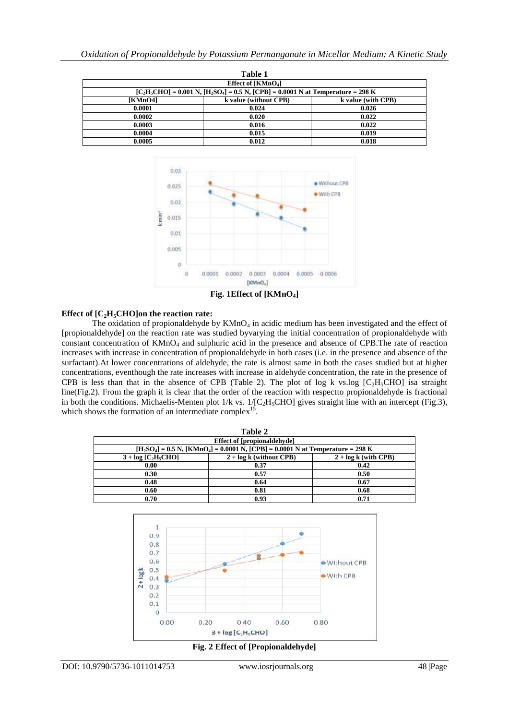| Table 1 |                                                                                           |                    |  |  |  |  |  |  |
|---------|-------------------------------------------------------------------------------------------|--------------------|--|--|--|--|--|--|
|         | Effect of [KMnO <sub>4</sub> ]                                                            |                    |  |  |  |  |  |  |
|         | $[C_2H_5CHO] = 0.001 N$ , $[H_2SO_4] = 0.5 N$ , $[CPB] = 0.0001 N$ at Temperature = 298 K |                    |  |  |  |  |  |  |
| [KMnO4] | k value (without CPB)                                                                     | k value (with CPB) |  |  |  |  |  |  |
| 0.0001  | 0.024                                                                                     | 0.026              |  |  |  |  |  |  |
| 0.0002  | 0.020                                                                                     | 0.022              |  |  |  |  |  |  |
| 0.0003  | 0.016                                                                                     | 0.022              |  |  |  |  |  |  |
| 0.0004  | 0.015                                                                                     | 0.019              |  |  |  |  |  |  |
| 0.0005  | 0.012                                                                                     | 0.018              |  |  |  |  |  |  |



**Fig. 1Effect of [KMnO4]**

## **Effect of [C2H5CHO]on the reaction rate:**

The oxidation of propionaldehyde by  $KMnO<sub>4</sub>$  in acidic medium has been investigated and the effect of [propionaldehyde] on the reaction rate was studied byvarying the initial concentration of propionaldehyde with constant concentration of  $KMnO<sub>4</sub>$  and sulphuric acid in the presence and absence of CPB. The rate of reaction increases with increase in concentration of propionaldehyde in both cases (i.e. in the presence and absence of the surfactant).At lower concentrations of aldehyde, the rate is almost same in both the cases studied but at higher concentrations, eventhough the rate increases with increase in aldehyde concentration, the rate in the presence of CPB is less than that in the absence of CPB (Table 2). The plot of log k vs.log  $[C_2H_5CHO]$  isa straight line(Fig.2). From the graph it is clear that the order of the reaction with respectto propionaldehyde is fractional in both the conditions. Michaelis-Menten plot  $1/k$  vs.  $1/[C_2H_5CHO]$  gives straight line with an intercept (Fig.3), which shows the formation of an intermediate complex<sup>15</sup>.

| Table 2                                                                                        |      |      |  |  |  |  |
|------------------------------------------------------------------------------------------------|------|------|--|--|--|--|
| <b>Effect of [propionaldehyde]</b>                                                             |      |      |  |  |  |  |
| $[H_2SO_4] = 0.5 N$ , [KMnO <sub>4</sub> ] = 0.0001 N, [CPB] = 0.0001 N at Temperature = 298 K |      |      |  |  |  |  |
| $3 + log [C2H5CHO]$<br>$2 + log k$ (without CPB)<br>$2 + log k$ (with CPB)                     |      |      |  |  |  |  |
| 0.00                                                                                           | 0.37 | 0.42 |  |  |  |  |
| 0.30                                                                                           | 0.57 | 0.50 |  |  |  |  |
| 0.48                                                                                           | 0.64 | 0.67 |  |  |  |  |
| 0.60                                                                                           | 0.81 | 0.68 |  |  |  |  |
| 0.70                                                                                           | 0.93 | 0.71 |  |  |  |  |



**Fig. 2 Effect of [Propionaldehyde]**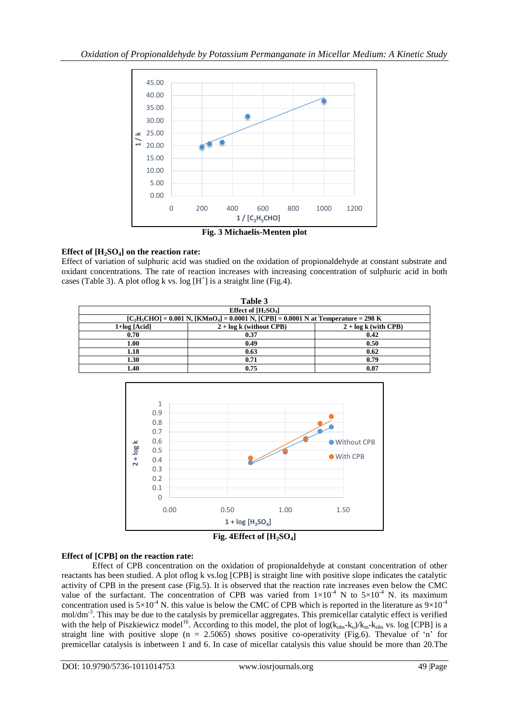

# **Effect of [H2SO4] on the reaction rate:**

Effect of variation of sulphuric acid was studied on the oxidation of propionaldehyde at constant substrate and oxidant concentrations. The rate of reaction increases with increasing concentration of sulphuric acid in both cases (Table 3). A plot of log k vs. log  $[H^+]$  is a straight line (Fig.4).

| Table 3                                                                                     |                           |                        |  |  |  |  |  |
|---------------------------------------------------------------------------------------------|---------------------------|------------------------|--|--|--|--|--|
|                                                                                             | Effect of $[H_2SO_4]$     |                        |  |  |  |  |  |
| $[C_2H_5CHO] = 0.001 N$ , $[KMnO_4] = 0.0001 N$ , $[CPB] = 0.0001 N$ at Temperature = 298 K |                           |                        |  |  |  |  |  |
| $1+log [Acid]$                                                                              | $2 + log k$ (without CPB) | $2 + log k$ (with CPB) |  |  |  |  |  |
| 0.70                                                                                        | 0.37                      | 0.42                   |  |  |  |  |  |
| 1.00                                                                                        | 0.49                      | 0.50                   |  |  |  |  |  |
| 1.18                                                                                        | 0.63                      | 0.62                   |  |  |  |  |  |
| 1.30                                                                                        | 0.71                      | 0.79                   |  |  |  |  |  |
| 1.40                                                                                        | 0.75                      | 0.87                   |  |  |  |  |  |





## **Effect of [CPB] on the reaction rate:**

Effect of CPB concentration on the oxidation of propionaldehyde at constant concentration of other reactants has been studied. A plot oflog k vs.log [CPB] is straight line with positive slope indicates the catalytic activity of CPB in the present case (Fig.5). It is observed that the reaction rate increases even below the CMC value of the surfactant. The concentration of CPB was varied from  $1\times10^{-4}$  N to  $5\times10^{-4}$  N. its maximum value concentration used is  $5\times10^{-4}$  N. this value is below the CMC of CPB which is reported in the literature as  $9\times10^{-4}$ mol/dm<sup>-3</sup>. This may be due to the catalysis by premicellar aggregates. This premicellar catalytic effect is verified with the help of Piszkiewicz model<sup>16</sup>. According to this model, the plot of  $log(k_{obs}-k_0)/k_m-k_{obs}$  vs. log [CPB] is a straight line with positive slope  $(n = 2.5065)$  shows positive co-operativity (Fig.6). Thevalue of 'n' for premicellar catalysis is inbetween 1 and 6. In case of micellar catalysis this value should be more than 20.The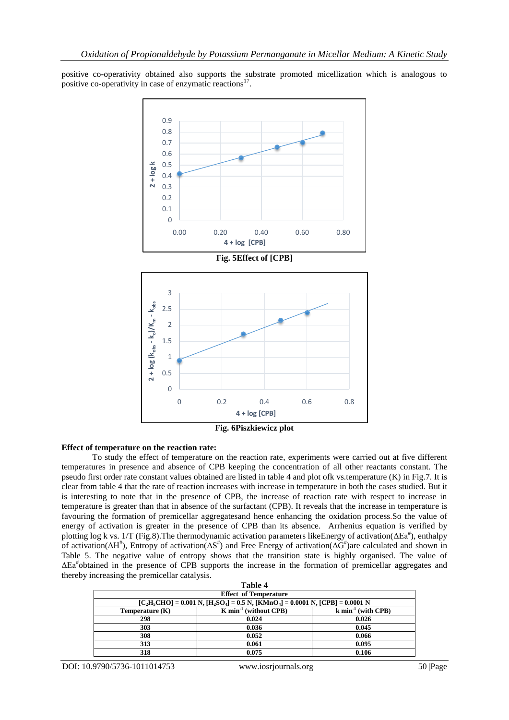positive co-operativity obtained also supports the substrate promoted micellization which is analogous to positive co-operativity in case of enzymatic reactions<sup>17</sup>.



#### **Effect of temperature on the reaction rate:**

To study the effect of temperature on the reaction rate, experiments were carried out at five different temperatures in presence and absence of CPB keeping the concentration of all other reactants constant. The pseudo first order rate constant values obtained are listed in table 4 and plot ofk vs.temperature (K) in Fig.7. It is clear from table 4 that the rate of reaction increases with increase in temperature in both the cases studied. But it is interesting to note that in the presence of CPB, the increase of reaction rate with respect to increase in temperature is greater than that in absence of the surfactant (CPB). It reveals that the increase in temperature is favouring the formation of premicellar aggregatesand hence enhancing the oxidation process.So the value of energy of activation is greater in the presence of CPB than its absence. Arrhenius equation is verified by plotting log k vs. 1/T (Fig.8). The thermodynamic activation parameters like Energy of activation( $\Delta Ea^{\#}$ ), enthalpy of activation( $\Delta H^{\#}$ ), Entropy of activation( $\Delta S^{\#}$ ) and Free Energy of activation( $\Delta G^{\#}$ )are calculated and shown in Table 5. The negative value of entropy shows that the transition state is highly organised. The value of ΔEa# obtained in the presence of CPB supports the increase in the formation of premicellar aggregates and thereby increasing the premicellar catalysis.

| Table 4                                                                                    |                                                            |       |  |  |  |  |  |
|--------------------------------------------------------------------------------------------|------------------------------------------------------------|-------|--|--|--|--|--|
| <b>Effect of Temperature</b>                                                               |                                                            |       |  |  |  |  |  |
| $[C_2H_5CHO] = 0.001 N$ , $[H_2SO_4] = 0.5 N$ , $[KMnO_4] = 0.0001 N$ , $[CPB] = 0.0001 N$ |                                                            |       |  |  |  |  |  |
| Temperature $(K)$                                                                          | $K min-1$ (without CPB)<br>$k \text{ min}^{-1}$ (with CPB) |       |  |  |  |  |  |
| 298                                                                                        | 0.024                                                      | 0.026 |  |  |  |  |  |
| 303                                                                                        | 0.036                                                      | 0.045 |  |  |  |  |  |
| 308                                                                                        | 0.052                                                      | 0.066 |  |  |  |  |  |
| 313                                                                                        | 0.061                                                      | 0.095 |  |  |  |  |  |
| 318                                                                                        | 0.075                                                      | 0.106 |  |  |  |  |  |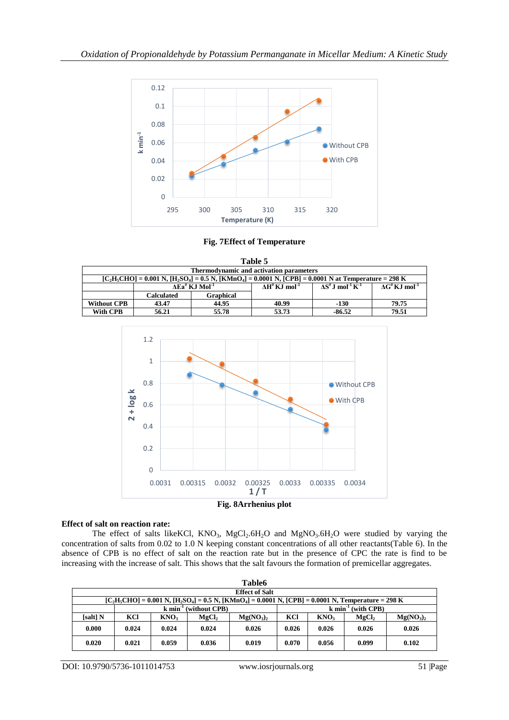

**Fig. 7Effect of Temperature**

| Table 5                                                                                                           |                                       |                                               |                                 |                                                   |                                       |  |  |
|-------------------------------------------------------------------------------------------------------------------|---------------------------------------|-----------------------------------------------|---------------------------------|---------------------------------------------------|---------------------------------------|--|--|
| <b>Thermodynamic and activation parameters</b>                                                                    |                                       |                                               |                                 |                                                   |                                       |  |  |
| $[C_2H_5CHO] = 0.001 N$ , $[H_2SO_4] = 0.5 N$ , $[KMnO_4] = 0.0001 N$ , $[CPB] = 0.0001 N$ at Temperature = 298 K |                                       |                                               |                                 |                                                   |                                       |  |  |
|                                                                                                                   |                                       | $\Delta$ Ea <sup>#</sup> KJ Mol <sup>-1</sup> | $AH^{\#}$ K.I mol <sup>-1</sup> | $\Lambda S^*$ J mol <sup>-1</sup> K <sup>-1</sup> | $\Delta G^{\#} K J$ mol <sup>-1</sup> |  |  |
|                                                                                                                   | <b>Calculated</b><br><b>Graphical</b> |                                               |                                 |                                                   |                                       |  |  |
| <b>Without CPB</b>                                                                                                | 44.95<br>43.47                        |                                               | 40.99                           | $-130$                                            | 79.75                                 |  |  |
| <b>With CPB</b>                                                                                                   | 56.21                                 | 55.78                                         | 53.73                           | $-86.52$                                          | 79.51                                 |  |  |



#### **Effect of salt on reaction rate:**

The effect of salts likeKCl,  $KNO_3$ ,  $MgCl_2.6H_2O$  and  $MgNO_3.6H_2O$  were studied by varying the concentration of salts from 0.02 to 1.0 N keeping constant concentrations of all other reactants(Table 6). In the absence of CPB is no effect of salt on the reaction rate but in the presence of CPC the rate is find to be increasing with the increase of salt. This shows that the salt favours the formation of premicellar aggregates.

| <b>Table6</b> |                                                                                                                  |                  |                   |                                   |                                 |                  |                   |                                   |  |
|---------------|------------------------------------------------------------------------------------------------------------------|------------------|-------------------|-----------------------------------|---------------------------------|------------------|-------------------|-----------------------------------|--|
|               | <b>Effect of Salt</b>                                                                                            |                  |                   |                                   |                                 |                  |                   |                                   |  |
|               | $[C_2H_5CHO] = 0.001 N$ , $[H_2SO_4] = 0.5 N$ , $[KMnO_4] = 0.0001 N$ , $[CPB] = 0.0001 N$ , Temperature = 298 K |                  |                   |                                   |                                 |                  |                   |                                   |  |
|               | $k \text{ min}^{-1}$ (without CPB)                                                                               |                  |                   |                                   | $k \text{ min}^{-1}$ (with CPB) |                  |                   |                                   |  |
| [salt] N      | KCl                                                                                                              | KNO <sub>3</sub> | MgCl <sub>2</sub> | Mg(NO <sub>3</sub> ) <sub>2</sub> | KCI                             | KNO <sub>3</sub> | MgCl <sub>2</sub> | Mg(NO <sub>3</sub> ) <sub>2</sub> |  |
| 0.000         | 0.024                                                                                                            | 0.024            | 0.024             | 0.026                             | 0.026                           | 0.026            | 0.026             | 0.026                             |  |
| 0.020         | 0.021                                                                                                            | 0.059            | 0.036             | 0.019                             | 0.070                           | 0.056            | 0.099             | 0.102                             |  |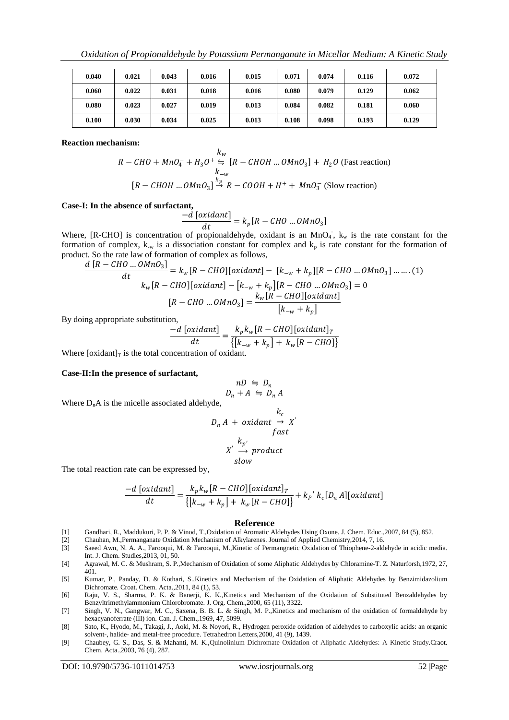| 0.040 | 0.021 | 0.043 | 0.016 | 0.015 | 0.071 | 0.074 | 0.116 | 0.072 |
|-------|-------|-------|-------|-------|-------|-------|-------|-------|
| 0.060 | 0.022 | 0.031 | 0.018 | 0.016 | 0.080 | 0.079 | 0.129 | 0.062 |
| 0.080 | 0.023 | 0.027 | 0.019 | 0.013 | 0.084 | 0.082 | 0.181 | 0.060 |
| 0.100 | 0.030 | 0.034 | 0.025 | 0.013 | 0.108 | 0.098 | 0.193 | 0.129 |

**Reaction mechanism:**

$$
R - CHO + MnO4- + H3O+ \stackrel{k_w}{\Rightarrow} [R - CHOH ... OMnO3] + H2O (Fast reaction)
$$
  
\n
$$
R - CHOH ... OMnO3] \stackrel{k_p}{\rightarrow} R - COOH + H+ + MnO3- (Slow reaction)
$$

**Case-I: In the absence of surfactant,**

$$
\frac{-d\left[oxidant\right]}{dt} = k_p[R - CHO \dots OMnO_3]
$$

Where, [R-CHO] is concentration of propionaldehyde, oxidant is an MnO<sub>4</sub>,  $k_w$  is the rate constant for the formation of complex,  $k_{-w}$  is a dissociation constant for complex and  $k_p$  is rate constant for the formation of product. So the rate law of formation of complex as follows,

$$
\frac{d[R - CHO \dots OMnO_3]}{dt} = k_w[R - CHO][oxidant] - [k_{-w} + k_p][R - CHO \dots OMnO_3] \dots \dots (1)
$$
  

$$
k_w[R - CHO][oxidant] - [k_{-w} + k_p][R - CHO \dots OMnO_3] = 0
$$
  

$$
[R - CHO \dots OMnO_3] = \frac{k_w[R - CHO][oxidant]}{[k_{-w} + k_p]}
$$

By doing appropriate substitution,

$$
\frac{-d\left[oxidant\right]}{dt} = \frac{k_p k_w [R - CHO][oxidant]_T}{\left\{ \left[k_{-w} + k_p\right] + k_w [R - CHO]\right\}}
$$

Where  $\lceil$  oxidant $\rceil$ <sub>T</sub> is the total concentration of oxidant.

#### **Case-II:In the presence of surfactant,**

$$
nD \Leftrightarrow D_n
$$
  

$$
D_n + A \Leftrightarrow D_n A
$$

Where  $D_nA$  is the micelle associated aldehyde,

$$
D_n A + oxidant \rightarrow X'
$$
  
\n
$$
fast
$$
  
\n
$$
X' \rightarrow product
$$
  
\n
$$
slow
$$

The total reaction rate can be expressed by,

$$
\frac{-d\left[oxidant\right]}{dt} = \frac{k_p k_w [R - CHO][oxidant]_T}{\left\{ \left[k_{-w} + k_p\right] + k_w [R - CHO]\right\}} + k_p' k_c [D_n A][oxidant]
$$

#### **Reference**

- [1] Gandhari, R., Maddukuri, P. P. & Vinod, T.,Oxidation of Aromatic Aldehydes Using Oxone. J. Chem. Educ.,2007, 84 (5), 852.
- [2] Chauhan, M.,Permanganate Oxidation Mechanism of Alkylarenes. Journal of Applied Chemistry,2014, 7, 16.
- [3] Saeed Awn, N. A. A., Farooqui, M. & Farooqui, M.,Kinetic of Permangnetic Oxidation of Thiophene-2-aldehyde in acidic media. Int. J. Chem. Studies,2013, 01, 50.
- [4] Agrawal, M. C. & Mushram, S. P.,Mechanism of Oxidation of some Aliphatic Aldehydes by Chloramine-T. Z. Naturforsh,1972, 27, 401.
- [5] Kumar, P., Panday, D. & Kothari, S.,Kinetics and Mechanism of the Oxidation of Aliphatic Aldehydes by Benzimidazolium Dichromate. Croat. Chem. Acta.,2011, 84 (1), 53.
- [6] Raju, V. S., Sharma, P. K. & Banerji, K. K.,Kinetics and Mechanism of the Oxidation of Substituted Benzaldehydes by Benzyltrimethylammonium Chlorobromate. J. Org. Chem.,2000, 65 (11), 3322.
- [7] Singh, V. N., Gangwar, M. C., Saxena, B. B. L. & Singh, M. P.,Kinetics and mechanism of the oxidation of formaldehyde by hexacyanoferrate (III) ion. Can. J. Chem.,1969, 47, 5099.
- [8] Sato, K., Hyodo, M., Takagi, J., Aoki, M. & Noyori, R., Hydrogen peroxide oxidation of aldehydes to carboxylic acids: an organic solvent-, halide- and metal-free procedure. Tetrahedron Letters,2000, 41 (9), 1439.
- [9] Chaubey, G. S., Das, S. & Mahanti, M. K.,Quinolinium Dichromate Oxidation of Aliphatic Aldehydes: A Kinetic Study.Craot. Chem. Acta.,2003, 76 (4), 287.